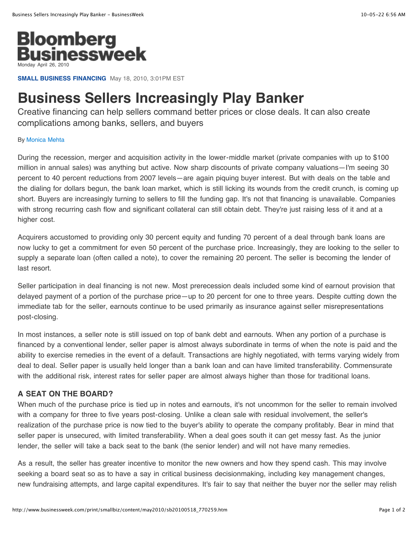

**SMALL BUSINESS FINANCING** May 18, 2010, 3:01PM EST

## **Business Sellers Increasingly Play Banker**

Creative financing can help sellers command better prices or close deals. It can also create complications among banks, sellers, and buyers

## By [Monica Mehta](http://www.businessweek.com/print/bios/Monica_Mehta.htm)

During the recession, merger and acquisition activity in the lower-middle market (private companies with up to \$100 million in annual sales) was anything but active. Now sharp discounts of private company valuations—I'm seeing 30 percent to 40 percent reductions from 2007 levels—are again piquing buyer interest. But with deals on the table and the dialing for dollars begun, the bank loan market, which is still licking its wounds from the credit crunch, is coming up short. Buyers are increasingly turning to sellers to fill the funding gap. It's not that financing is unavailable. Companies with strong recurring cash flow and significant collateral can still obtain debt. They're just raising less of it and at a higher cost.

Acquirers accustomed to providing only 30 percent equity and funding 70 percent of a deal through bank loans are now lucky to get a commitment for even 50 percent of the purchase price. Increasingly, they are looking to the seller to supply a separate loan (often called a note), to cover the remaining 20 percent. The seller is becoming the lender of last resort.

Seller participation in deal financing is not new. Most prerecession deals included some kind of earnout provision that delayed payment of a portion of the purchase price—up to 20 percent for one to three years. Despite cutting down the immediate tab for the seller, earnouts continue to be used primarily as insurance against seller misrepresentations post-closing.

In most instances, a seller note is still issued on top of bank debt and earnouts. When any portion of a purchase is financed by a conventional lender, seller paper is almost always subordinate in terms of when the note is paid and the ability to exercise remedies in the event of a default. Transactions are highly negotiated, with terms varying widely from deal to deal. Seller paper is usually held longer than a bank loan and can have limited transferability. Commensurate with the additional risk, interest rates for seller paper are almost always higher than those for traditional loans.

## **A SEAT ON THE BOARD?**

When much of the purchase price is tied up in notes and earnouts, it's not uncommon for the seller to remain involved with a company for three to five years post-closing. Unlike a clean sale with residual involvement, the seller's realization of the purchase price is now tied to the buyer's ability to operate the company profitably. Bear in mind that seller paper is unsecured, with limited transferability. When a deal goes south it can get messy fast. As the junior lender, the seller will take a back seat to the bank (the senior lender) and will not have many remedies.

As a result, the seller has greater incentive to monitor the new owners and how they spend cash. This may involve seeking a board seat so as to have a say in critical business decisionmaking, including key management changes, new fundraising attempts, and large capital expenditures. It's fair to say that neither the buyer nor the seller may relish